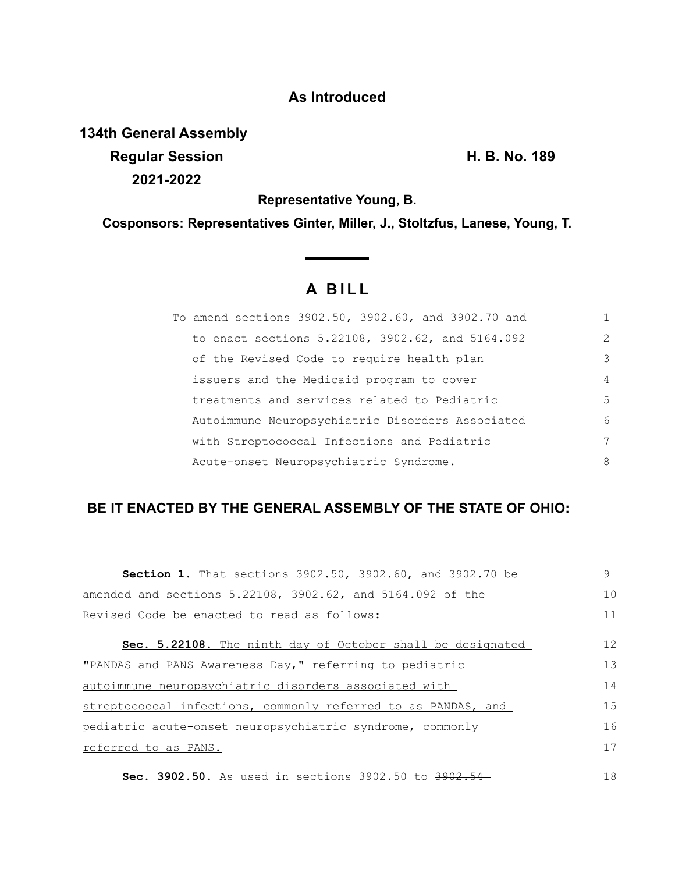## **As Introduced**

## **134th General Assembly Regular Session H. B. No. 189 2021-2022**

**Representative Young, B.**

**Cosponsors: Representatives Ginter, Miller, J., Stoltzfus, Lanese, Young, T.**

## **A B I L L**

<u> a shekara ta 199</u>

| To amend sections 3902.50, 3902.60, and 3902.70 and |               |
|-----------------------------------------------------|---------------|
| to enact sections 5.22108, 3902.62, and 5164.092    | $\mathcal{L}$ |
| of the Revised Code to require health plan          | 3             |
| issuers and the Medicaid program to cover           | 4             |
| treatments and services related to Pediatric        | 5             |
| Autoimmune Neuropsychiatric Disorders Associated    | 6             |
| with Streptococcal Infections and Pediatric         | 7             |
| Acute-onset Neuropsychiatric Syndrome.              | 8             |

## **BE IT ENACTED BY THE GENERAL ASSEMBLY OF THE STATE OF OHIO:**

| Section 1. That sections 3902.50, 3902.60, and 3902.70 be     | 9  |
|---------------------------------------------------------------|----|
| amended and sections 5.22108, 3902.62, and 5164.092 of the    | 10 |
| Revised Code be enacted to read as follows:                   | 11 |
| Sec. 5.22108. The ninth day of October shall be designated    | 12 |
| "PANDAS and PANS Awareness Day," referring to pediatric       | 13 |
| autoimmune neuropsychiatric disorders associated with         | 14 |
| streptococcal infections, commonly referred to as PANDAS, and | 15 |
| pediatric acute-onset neuropsychiatric syndrome, commonly     | 16 |
| referred to as PANS.                                          | 17 |
|                                                               |    |

**Sec. 3902.50.** As used in sections 3902.50 to 3902.54 18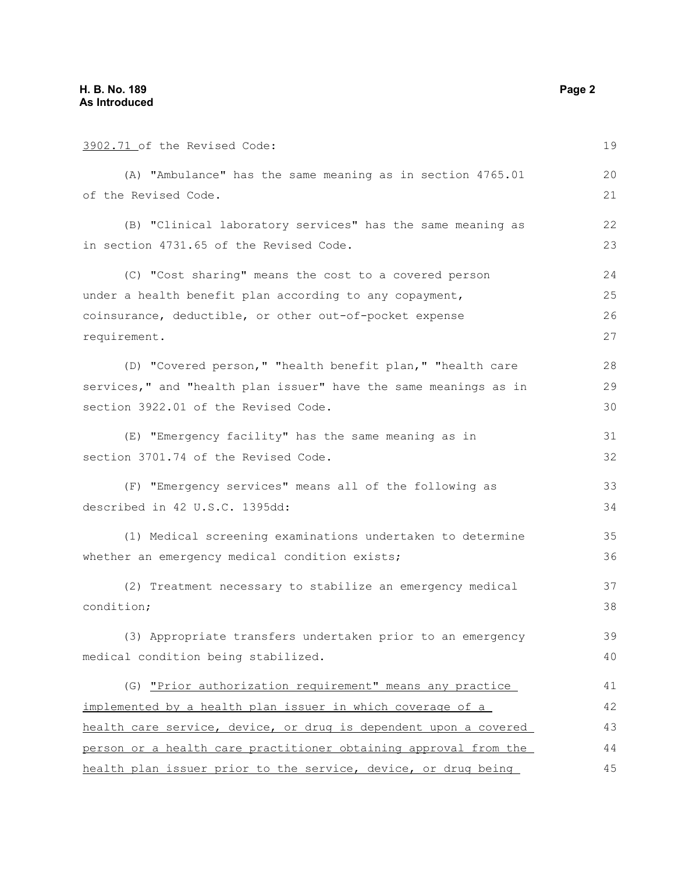| 3902.71 of the Revised Code:                                     | 19 |
|------------------------------------------------------------------|----|
| (A) "Ambulance" has the same meaning as in section 4765.01       | 20 |
| of the Revised Code.                                             | 21 |
| (B) "Clinical laboratory services" has the same meaning as       | 22 |
| in section 4731.65 of the Revised Code.                          | 23 |
| (C) "Cost sharing" means the cost to a covered person            | 24 |
| under a health benefit plan according to any copayment,          | 25 |
| coinsurance, deductible, or other out-of-pocket expense          | 26 |
| requirement.                                                     | 27 |
| (D) "Covered person," "health benefit plan," "health care        | 28 |
| services," and "health plan issuer" have the same meanings as in | 29 |
| section 3922.01 of the Revised Code.                             | 30 |
| (E) "Emergency facility" has the same meaning as in              | 31 |
| section 3701.74 of the Revised Code.                             | 32 |
| (F) "Emergency services" means all of the following as           | 33 |
| described in 42 U.S.C. 1395dd:                                   | 34 |
| (1) Medical screening examinations undertaken to determine       | 35 |
| whether an emergency medical condition exists;                   | 36 |
| (2) Treatment necessary to stabilize an emergency medical        | 37 |
| condition;                                                       | 38 |
| (3) Appropriate transfers undertaken prior to an emergency       | 39 |
| medical condition being stabilized.                              | 40 |
| (G) "Prior authorization requirement" means any practice         | 41 |
| implemented by a health plan issuer in which coverage of a       | 42 |
| health care service, device, or drug is dependent upon a covered | 43 |
| person or a health care practitioner obtaining approval from the | 44 |
| health plan issuer prior to the service, device, or drug being   | 45 |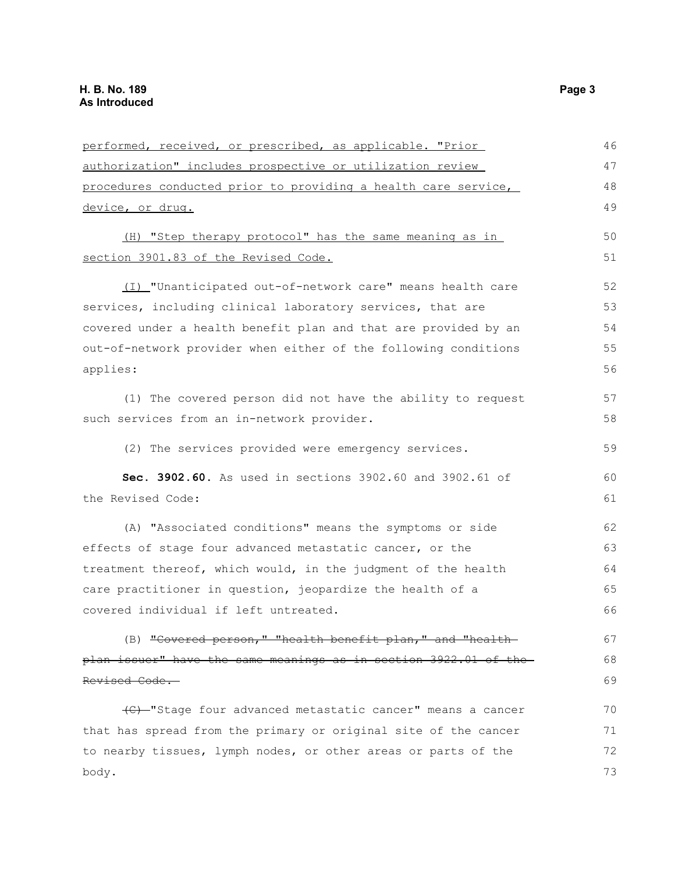| performed, received, or prescribed, as applicable. "Prior        | 46 |
|------------------------------------------------------------------|----|
| authorization" includes prospective or utilization review        | 47 |
| procedures conducted prior to providing a health care service,   | 48 |
| device, or drug.                                                 | 49 |
| (H) "Step therapy protocol" has the same meaning as in           | 50 |
| section 3901.83 of the Revised Code.                             | 51 |
| (I) "Unanticipated out-of-network care" means health care        | 52 |
| services, including clinical laboratory services, that are       | 53 |
| covered under a health benefit plan and that are provided by an  | 54 |
| out-of-network provider when either of the following conditions  | 55 |
| applies:                                                         | 56 |
| (1) The covered person did not have the ability to request       | 57 |
| such services from an in-network provider.                       | 58 |
| (2) The services provided were emergency services.               | 59 |
|                                                                  |    |
| Sec. 3902.60. As used in sections 3902.60 and 3902.61 of         | 60 |
| the Revised Code:                                                | 61 |
| (A) "Associated conditions" means the symptoms or side           | 62 |
| effects of stage four advanced metastatic cancer, or the         | 63 |
| treatment thereof, which would, in the judgment of the health    | 64 |
| care practitioner in question, jeopardize the health of a        | 65 |
| covered individual if left untreated.                            | 66 |
| (B) "Covered person," "health benefit plan," and "health-        | 67 |
| plan issuer" have the same meanings as in section 3922.01 of the | 68 |
| Revised Code.                                                    | 69 |
| (C) -"Stage four advanced metastatic cancer" means a cancer      | 70 |
| that has spread from the primary or original site of the cancer  | 71 |
| to nearby tissues, lymph nodes, or other areas or parts of the   | 72 |
| body.                                                            | 73 |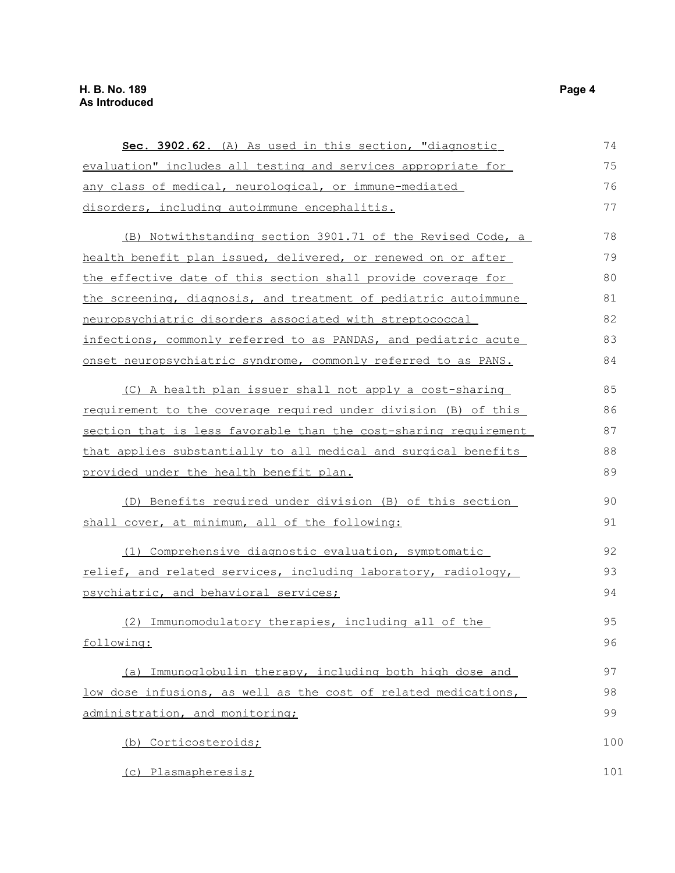| Sec. 3902.62. (A) As used in this section, "diagnostic                 | 74  |
|------------------------------------------------------------------------|-----|
| evaluation" includes all testing and services appropriate for          | 75  |
| any class of medical, neurological, or immune-mediated                 | 76  |
| disorders, including autoimmune encephalitis.                          | 77  |
| (B) Notwithstanding section 3901.71 of the Revised Code, a             | 78  |
| health benefit plan issued, delivered, or renewed on or after          | 79  |
| the effective date of this section shall provide coverage for          | 80  |
| the screening, diagnosis, and treatment of pediatric autoimmune        | 81  |
| neuropsychiatric disorders associated with streptococcal               | 82  |
| infections, commonly referred to as PANDAS, and pediatric acute        | 83  |
| onset neuropsychiatric syndrome, commonly referred to as PANS.         | 84  |
| (C) A health plan issuer shall not apply a cost-sharing                | 85  |
| <u>requirement to the coverage required under division (B) of this</u> | 86  |
| section that is less favorable than the cost-sharing requirement       | 87  |
| that applies substantially to all medical and surgical benefits        | 88  |
| <u>provided under the health benefit plan.</u>                         | 89  |
| (D) Benefits required under division (B) of this section               | 90  |
| shall cover, at minimum, all of the following:                         | 91  |
| (1) Comprehensive diagnostic evaluation, symptomatic                   | 92  |
| relief, and related services, including laboratory, radiology,         | 93  |
| psychiatric, and behavioral services;                                  | 94  |
| (2) Immunomodulatory therapies, including all of the                   | 95  |
| following:                                                             | 96  |
| (a) Immunoglobulin therapy, including both high dose and               | 97  |
| low dose infusions, as well as the cost of related medications,        | 98  |
| administration, and monitoring;                                        | 99  |
| (b) Corticosteroids;                                                   | 100 |
| (c) Plasmapheresis;                                                    | 101 |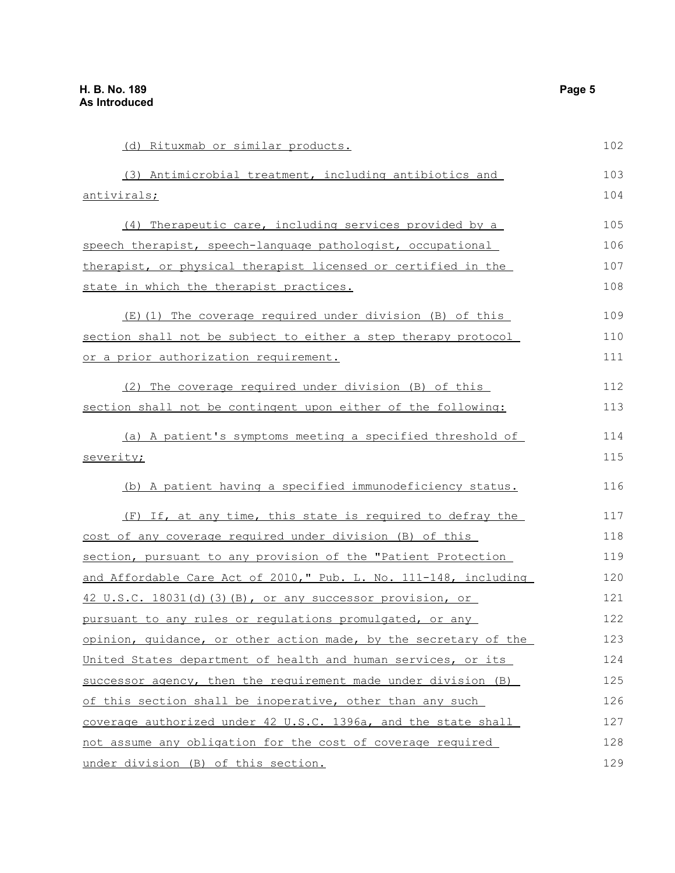(d) Rituxmab or similar products. (3) Antimicrobial treatment, including antibiotics and antivirals; (4) Therapeutic care, including services provided by a speech therapist, speech-language pathologist, occupational therapist, or physical therapist licensed or certified in the state in which the therapist practices. (E)(1) The coverage required under division (B) of this section shall not be subject to either a step therapy protocol or a prior authorization requirement. (2) The coverage required under division (B) of this section shall not be contingent upon either of the following: (a) A patient's symptoms meeting a specified threshold of severity; (b) A patient having a specified immunodeficiency status. (F) If, at any time, this state is required to defray the cost of any coverage required under division (B) of this section, pursuant to any provision of the "Patient Protection and Affordable Care Act of 2010," Pub. L. No. 111-148, including 42 U.S.C. 18031(d)(3)(B), or any successor provision, or pursuant to any rules or regulations promulgated, or any opinion, guidance, or other action made, by the secretary of the United States department of health and human services, or its successor agency, then the requirement made under division (B) of this section shall be inoperative, other than any such coverage authorized under 42 U.S.C. 1396a, and the state shall not assume any obligation for the cost of coverage required 102 103 104 105 106 107 108 109 110 111 112 113 114 115 116 117 118 119 120 121 122 123 124 125 126 127 128

under division (B) of this section.

129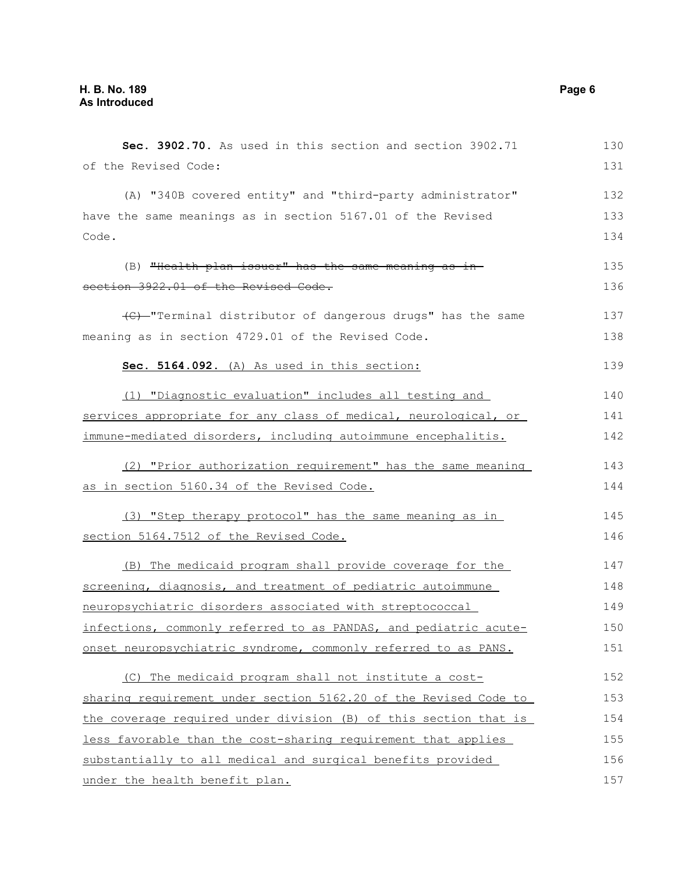| Sec. 3902.70. As used in this section and section 3902.71        | 130 |
|------------------------------------------------------------------|-----|
| of the Revised Code:                                             | 131 |
| (A) "340B covered entity" and "third-party administrator"        | 132 |
| have the same meanings as in section 5167.01 of the Revised      | 133 |
| Code.                                                            | 134 |
| (B) "Health plan issuer" has the same meaning as in-             | 135 |
| section 3922.01 of the Revised Code.                             | 136 |
| (C) - "Terminal distributor of dangerous drugs" has the same     | 137 |
| meaning as in section 4729.01 of the Revised Code.               | 138 |
| Sec. 5164.092. (A) As used in this section:                      | 139 |
| (1) "Diagnostic evaluation" includes all testing and             | 140 |
| services appropriate for any class of medical, neurological, or  | 141 |
| immune-mediated disorders, including autoimmune encephalitis.    | 142 |
| (2) "Prior authorization requirement" has the same meaning       | 143 |
| as in section 5160.34 of the Revised Code.                       | 144 |
| (3) "Step therapy protocol" has the same meaning as in           | 145 |
| section 5164.7512 of the Revised Code.                           | 146 |
| (B) The medicaid program shall provide coverage for the          | 147 |
| screening, diagnosis, and treatment of pediatric autoimmune      | 148 |
| neuropsychiatric disorders associated with streptococcal         | 149 |
| infections, commonly referred to as PANDAS, and pediatric acute- | 150 |
| onset neuropsychiatric syndrome, commonly referred to as PANS.   | 151 |
| (C) The medicaid program shall not institute a cost-             | 152 |
| sharing requirement under section 5162.20 of the Revised Code to | 153 |
| the coverage required under division (B) of this section that is | 154 |
| less favorable than the cost-sharing requirement that applies    | 155 |
| substantially to all medical and surgical benefits provided      | 156 |
| under the health benefit plan.                                   | 157 |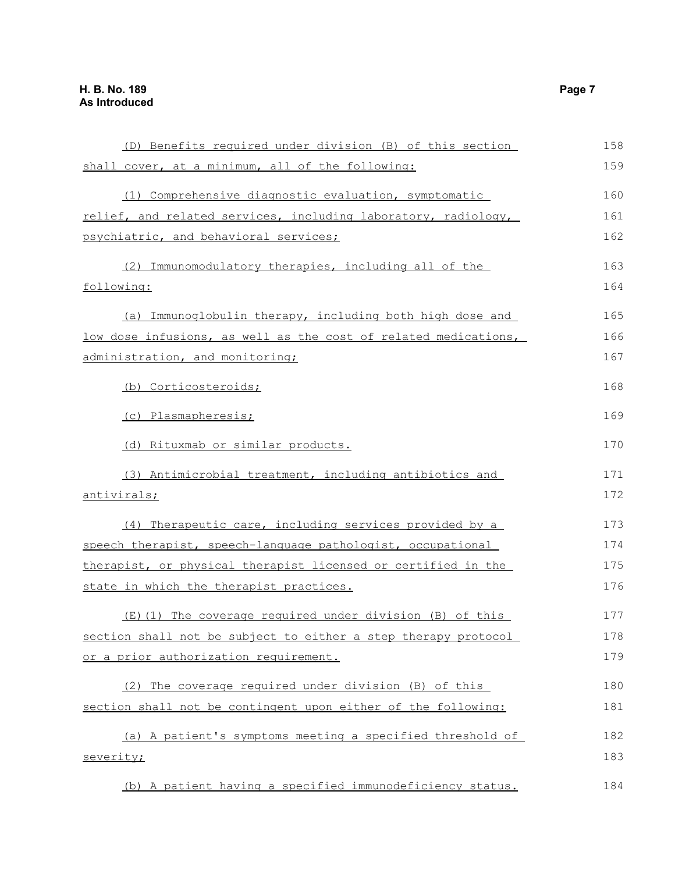| (D) Benefits required under division (B) of this section        | 158 |
|-----------------------------------------------------------------|-----|
| shall cover, at a minimum, all of the following:                | 159 |
| (1) Comprehensive diagnostic evaluation, symptomatic            | 160 |
| relief, and related services, including laboratory, radiology,  | 161 |
| psychiatric, and behavioral services;                           | 162 |
| (2) Immunomodulatory therapies, including all of the            | 163 |
| following:                                                      | 164 |
| (a) Immunoglobulin therapy, including both high dose and        | 165 |
| low dose infusions, as well as the cost of related medications, | 166 |
| administration, and monitoring;                                 | 167 |
| (b) Corticosteroids;                                            | 168 |
| (c) Plasmapheresis;                                             | 169 |
| (d) Rituxmab or similar products.                               | 170 |
| (3) Antimicrobial treatment, including antibiotics and          | 171 |
| antivirals;                                                     | 172 |
| (4) Therapeutic care, including services provided by a          | 173 |
| speech therapist, speech-language pathologist, occupational     | 174 |
| therapist, or physical therapist licensed or certified in the   | 175 |
| state in which the therapist practices.                         | 176 |
| (E)(1) The coverage required under division (B) of this         | 177 |
| section shall not be subject to either a step therapy protocol  | 178 |
| or a prior authorization requirement.                           | 179 |
| (2) The coverage required under division (B) of this            | 180 |
| section shall not be contingent upon either of the following:   | 181 |
| (a) A patient's symptoms meeting a specified threshold of       | 182 |
| severity;                                                       | 183 |
| (b) A patient having a specified immunodeficiency status.       | 184 |